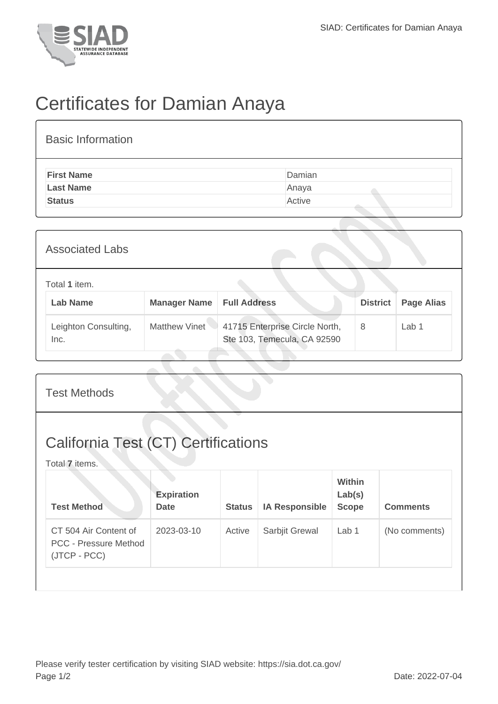

## Certificates for Damian Anaya

| <b>Basic Information</b> |        |
|--------------------------|--------|
| <b>First Name</b>        | Damian |
| <b>Last Name</b>         | Anaya  |
| <b>Status</b>            | Active |
|                          |        |

| <b>Associated Labs</b>           |                     |                                                               |                 |                   |  |
|----------------------------------|---------------------|---------------------------------------------------------------|-----------------|-------------------|--|
| Total 1 item.<br><b>Lab Name</b> | <b>Manager Name</b> | <b>Full Address</b>                                           | <b>District</b> | <b>Page Alias</b> |  |
| Leighton Consulting,<br>Inc.     | Matthew Vinet       | 41715 Enterprise Circle North,<br>Ste 103, Temecula, CA 92590 | 8               | Lab 1             |  |

| <b>Test Methods</b>                                                   |                                  |               |                       |                                         |                 |  |
|-----------------------------------------------------------------------|----------------------------------|---------------|-----------------------|-----------------------------------------|-----------------|--|
| <b>California Test (CT) Certifications</b><br>Total 7 items.          |                                  |               |                       |                                         |                 |  |
| <b>Test Method</b>                                                    | <b>Expiration</b><br><b>Date</b> | <b>Status</b> | <b>IA Responsible</b> | <b>Within</b><br>Lab(s)<br><b>Scope</b> | <b>Comments</b> |  |
| CT 504 Air Content of<br><b>PCC - Pressure Method</b><br>(JTCP - PCC) | 2023-03-10                       | Active        | Sarbjit Grewal        | Lab 1                                   | (No comments)   |  |
|                                                                       |                                  |               |                       |                                         |                 |  |